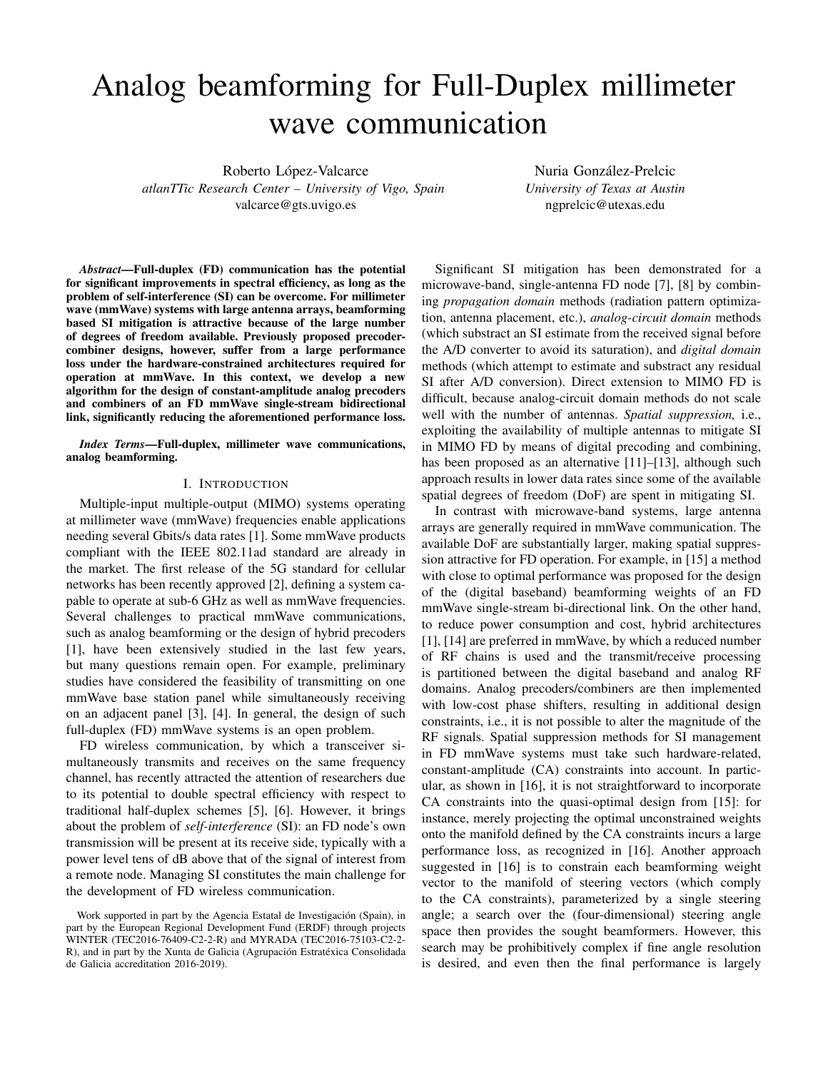# Analog beamforming for Full-Duplex millimeter wave communication

Roberto López-Valcarce *atlanTTic Research Center – University of Vigo, Spain* valcarce@gts.uvigo.es

Nuria González-Prelcic *University of Texas at Austin* ngprelcic@utexas.edu

*Abstract*—Full-duplex (FD) communication has the potential for significant improvements in spectral efficiency, as long as the problem of self-interference (SI) can be overcome. For millimeter wave (mmWave) systems with large antenna arrays, beamforming based SI mitigation is attractive because of the large number of degrees of freedom available. Previously proposed precodercombiner designs, however, suffer from a large performance loss under the hardware-constrained architectures required for operation at mmWave. In this context, we develop a new algorithm for the design of constant-amplitude analog precoders and combiners of an FD mmWave single-stream bidirectional link, significantly reducing the aforementioned performance loss.

*Index Terms*—Full-duplex, millimeter wave communications, analog beamforming.

#### I. INTRODUCTION

Multiple-input multiple-output (MIMO) systems operating at millimeter wave (mmWave) frequencies enable applications needing several Gbits/s data rates [1]. Some mmWave products compliant with the IEEE 802.11ad standard are already in the market. The first release of the 5G standard for cellular networks has been recently approved [2], defining a system capable to operate at sub-6 GHz as well as mmWave frequencies. Several challenges to practical mmWave communications, such as analog beamforming or the design of hybrid precoders [1], have been extensively studied in the last few years, but many questions remain open. For example, preliminary studies have considered the feasibility of transmitting on one mmWave base station panel while simultaneously receiving on an adjacent panel [3], [4]. In general, the design of such full-duplex (FD) mmWave systems is an open problem.

FD wireless communication, by which a transceiver simultaneously transmits and receives on the same frequency channel, has recently attracted the attention of researchers due to its potential to double spectral efficiency with respect to traditional half-duplex schemes [5], [6]. However, it brings about the problem of *self-interference* (SI): an FD node's own transmission will be present at its receive side, typically with a power level tens of dB above that of the signal of interest from a remote node. Managing SI constitutes the main challenge for the development of FD wireless communication.

Significant SI mitigation has been demonstrated for a microwave-band, single-antenna FD node [7], [8] by combining *propagation domain* methods (radiation pattern optimization, antenna placement, etc.), *analog-circuit domain* methods (which substract an SI estimate from the received signal before the A/D converter to avoid its saturation), and *digital domain* methods (which attempt to estimate and substract any residual SI after A/D conversion). Direct extension to MIMO FD is difficult, because analog-circuit domain methods do not scale well with the number of antennas. *Spatial suppression,* i.e., exploiting the availability of multiple antennas to mitigate SI in MIMO FD by means of digital precoding and combining, has been proposed as an alternative [11]–[13], although such approach results in lower data rates since some of the available spatial degrees of freedom (DoF) are spent in mitigating SI.

In contrast with microwave-band systems, large antenna arrays are generally required in mmWave communication. The available DoF are substantially larger, making spatial suppression attractive for FD operation. For example, in [15] a method with close to optimal performance was proposed for the design of the (digital baseband) beamforming weights of an FD mmWave single-stream bi-directional link. On the other hand, to reduce power consumption and cost, hybrid architectures [1], [14] are preferred in mmWave, by which a reduced number of RF chains is used and the transmit/receive processing is partitioned between the digital baseband and analog RF domains. Analog precoders/combiners are then implemented with low-cost phase shifters, resulting in additional design constraints, i.e., it is not possible to alter the magnitude of the RF signals. Spatial suppression methods for SI management in FD mmWave systems must take such hardware-related, constant-amplitude (CA) constraints into account. In particular, as shown in [16], it is not straightforward to incorporate CA constraints into the quasi-optimal design from [15]: for instance, merely projecting the optimal unconstrained weights onto the manifold defined by the CA constraints incurs a large performance loss, as recognized in [16]. Another approach suggested in [16] is to constrain each beamforming weight vector to the manifold of steering vectors (which comply to the CA constraints), parameterized by a single steering angle; a search over the (four-dimensional) steering angle space then provides the sought beamformers. However, this search may be prohibitively complex if fine angle resolution is desired, and even then the final performance is largely

Work supported in part by the Agencia Estatal de Investigación (Spain), in part by the European Regional Development Fund (ERDF) through projects WINTER (TEC2016-76409-C2-2-R) and MYRADA (TEC2016-75103-C2-2- R), and in part by the Xunta de Galicia (Agrupación Estratéxica Consolidada de Galicia accreditation 2016-2019).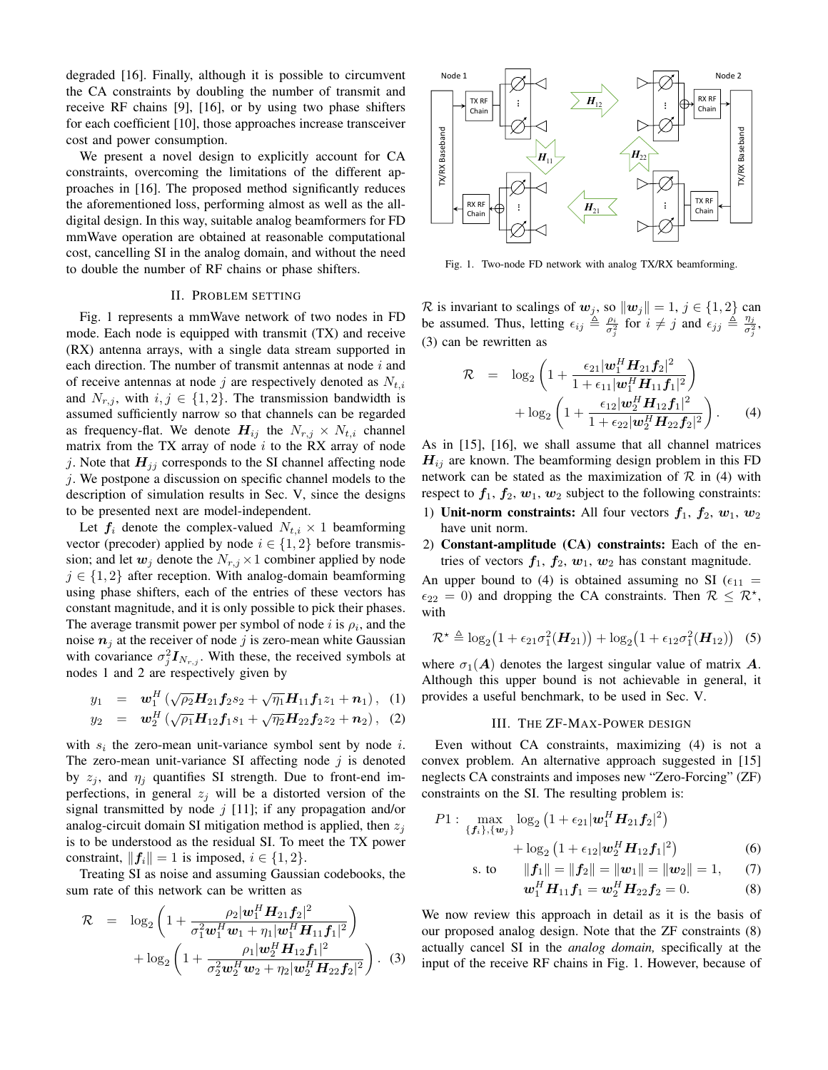degraded [16]. Finally, although it is possible to circumvent the CA constraints by doubling the number of transmit and receive RF chains [9], [16], or by using two phase shifters for each coefficient [10], those approaches increase transceiver cost and power consumption.

We present a novel design to explicitly account for CA constraints, overcoming the limitations of the different approaches in [16]. The proposed method significantly reduces the aforementioned loss, performing almost as well as the alldigital design. In this way, suitable analog beamformers for FD mmWave operation are obtained at reasonable computational cost, cancelling SI in the analog domain, and without the need to double the number of RF chains or phase shifters.

# II. PROBLEM SETTING

Fig. 1 represents a mmWave network of two nodes in FD mode. Each node is equipped with transmit (TX) and receive (RX) antenna arrays, with a single data stream supported in each direction. The number of transmit antennas at node  $i$  and of receive antennas at node j are respectively denoted as  $N_{t,i}$ and  $N_{r,i}$ , with  $i, j \in \{1, 2\}$ . The transmission bandwidth is assumed sufficiently narrow so that channels can be regarded as frequency-flat. We denote  $H_{ij}$  the  $N_{r,j} \times N_{t,i}$  channel matrix from the TX array of node  $i$  to the RX array of node j. Note that  $H_{jj}$  corresponds to the SI channel affecting node j. We postpone a discussion on specific channel models to the description of simulation results in Sec. V, since the designs to be presented next are model-independent.

Let  $f_i$  denote the complex-valued  $N_{t,i} \times 1$  beamforming vector (precoder) applied by node  $i \in \{1, 2\}$  before transmission; and let  $w_j$  denote the  $N_{r,j} \times 1$  combiner applied by node  $j \in \{1, 2\}$  after reception. With analog-domain beamforming using phase shifters, each of the entries of these vectors has constant magnitude, and it is only possible to pick their phases. The average transmit power per symbol of node i is  $\rho_i$ , and the noise  $n_i$  at the receiver of node j is zero-mean white Gaussian with covariance  $\sigma_j^2 I_{N_{r,j}}$ . With these, the received symbols at nodes 1 and 2 are respectively given by

$$
y_1 = \mathbf{w}_1^H \left( \sqrt{\rho_2} \mathbf{H}_{21} \mathbf{f}_2 s_2 + \sqrt{\eta_1} \mathbf{H}_{11} \mathbf{f}_1 z_1 + \mathbf{n}_1 \right), \quad (1)
$$

$$
y_2 = \mathbf{w}_2^H \left( \sqrt{\rho_1} \mathbf{H}_{12} \mathbf{f}_1 s_1 + \sqrt{\eta_2} \mathbf{H}_{22} \mathbf{f}_2 z_2 + \mathbf{n}_2 \right), (2)
$$

with  $s_i$  the zero-mean unit-variance symbol sent by node i. The zero-mean unit-variance SI affecting node  $j$  is denoted by  $z_i$ , and  $\eta_i$  quantifies SI strength. Due to front-end imperfections, in general  $z_i$  will be a distorted version of the signal transmitted by node  $j$  [11]; if any propagation and/or analog-circuit domain SI mitigation method is applied, then  $z_i$ is to be understood as the residual SI. To meet the TX power constraint,  $||f_i|| = 1$  is imposed,  $i \in \{1, 2\}$ .

Treating SI as noise and assuming Gaussian codebooks, the sum rate of this network can be written as

$$
\mathcal{R} = \log_2\left(1 + \frac{\rho_2|\mathbf{w}_1^H \mathbf{H}_{21} \mathbf{f}_2|^2}{\sigma_1^2 \mathbf{w}_1^H \mathbf{w}_1 + \eta_1 |\mathbf{w}_1^H \mathbf{H}_{11} \mathbf{f}_1|^2}\right) + \log_2\left(1 + \frac{\rho_1|\mathbf{w}_2^H \mathbf{H}_{12} \mathbf{f}_1|^2}{\sigma_2^2 \mathbf{w}_2^H \mathbf{w}_2 + \eta_2 |\mathbf{w}_2^H \mathbf{H}_{22} \mathbf{f}_2|^2}\right). (3)
$$



Fig. 1. Two-node FD network with analog TX/RX beamforming.

R is invariant to scalings of  $w_j$ , so  $\|w_j\| = 1$ ,  $j \in \{1, 2\}$  can be assumed. Thus, letting  $\epsilon_{ij} \triangleq \frac{\rho_i}{\sigma_j^2}$  for  $i \neq j$  and  $\epsilon_{jj} \triangleq \frac{\eta_j}{\sigma_j^2}$  $\frac{\eta_j}{\sigma_j^2},$ (3) can be rewritten as

$$
\mathcal{R} = \log_2\left(1 + \frac{\epsilon_{21}|\mathbf{w}_1^H \mathbf{H}_{21} \mathbf{f}_2|^2}{1 + \epsilon_{11}|\mathbf{w}_1^H \mathbf{H}_{11} \mathbf{f}_1|^2}\right) + \log_2\left(1 + \frac{\epsilon_{12}|\mathbf{w}_2^H \mathbf{H}_{12} \mathbf{f}_1|^2}{1 + \epsilon_{22}|\mathbf{w}_2^H \mathbf{H}_{22} \mathbf{f}_2|^2}\right). \tag{4}
$$

As in [15], [16], we shall assume that all channel matrices  $H_{ij}$  are known. The beamforming design problem in this FD network can be stated as the maximization of  $\mathcal R$  in (4) with respect to  $f_1, f_2, w_1, w_2$  subject to the following constraints:

- 1) Unit-norm constraints: All four vectors  $f_1$ ,  $f_2$ ,  $w_1$ ,  $w_2$ have unit norm.
- 2) Constant-amplitude (CA) constraints: Each of the entries of vectors  $f_1$ ,  $f_2$ ,  $w_1$ ,  $w_2$  has constant magnitude.

An upper bound to (4) is obtained assuming no SI ( $\epsilon_{11}$  =  $\epsilon_{22} = 0$ ) and dropping the CA constraints. Then  $\mathcal{R} \leq \mathcal{R}^*$ , with

$$
\mathcal{R}^* \triangleq \log_2(1 + \epsilon_{21}\sigma_1^2(\bm{H}_{21})) + \log_2(1 + \epsilon_{12}\sigma_1^2(\bm{H}_{12})) \quad (5)
$$

where  $\sigma_1(A)$  denotes the largest singular value of matrix A. Although this upper bound is not achievable in general, it provides a useful benchmark, to be used in Sec. V.

#### III. THE ZF-MAX-POWER DESIGN

Even without CA constraints, maximizing (4) is not a convex problem. An alternative approach suggested in [15] neglects CA constraints and imposes new "Zero-Forcing" (ZF) constraints on the SI. The resulting problem is:

$$
P1: \max_{\{f_i\}, \{w_j\}} \log_2 (1 + \epsilon_{21} |\mathbf{w}_1^H \mathbf{H}_{21} \mathbf{f}_2|^2) + \log_2 (1 + \epsilon_{12} |\mathbf{w}_2^H \mathbf{H}_{12} \mathbf{f}_1|^2)
$$
(6)

s. to 
$$
||f_1|| = ||f_2|| = ||w_1|| = ||w_2|| = 1,
$$
 (7)  

$$
w^H H_1 f_2 + w^H H_2 f_3 = 0
$$
 (8)

$$
\mathbf{w}_1^H \mathbf{H}_{11} \mathbf{f}_1 = \mathbf{w}_2^H \mathbf{H}_{22} \mathbf{f}_2 = 0.
$$
 (8)

We now review this approach in detail as it is the basis of our proposed analog design. Note that the ZF constraints (8) actually cancel SI in the *analog domain,* specifically at the input of the receive RF chains in Fig. 1. However, because of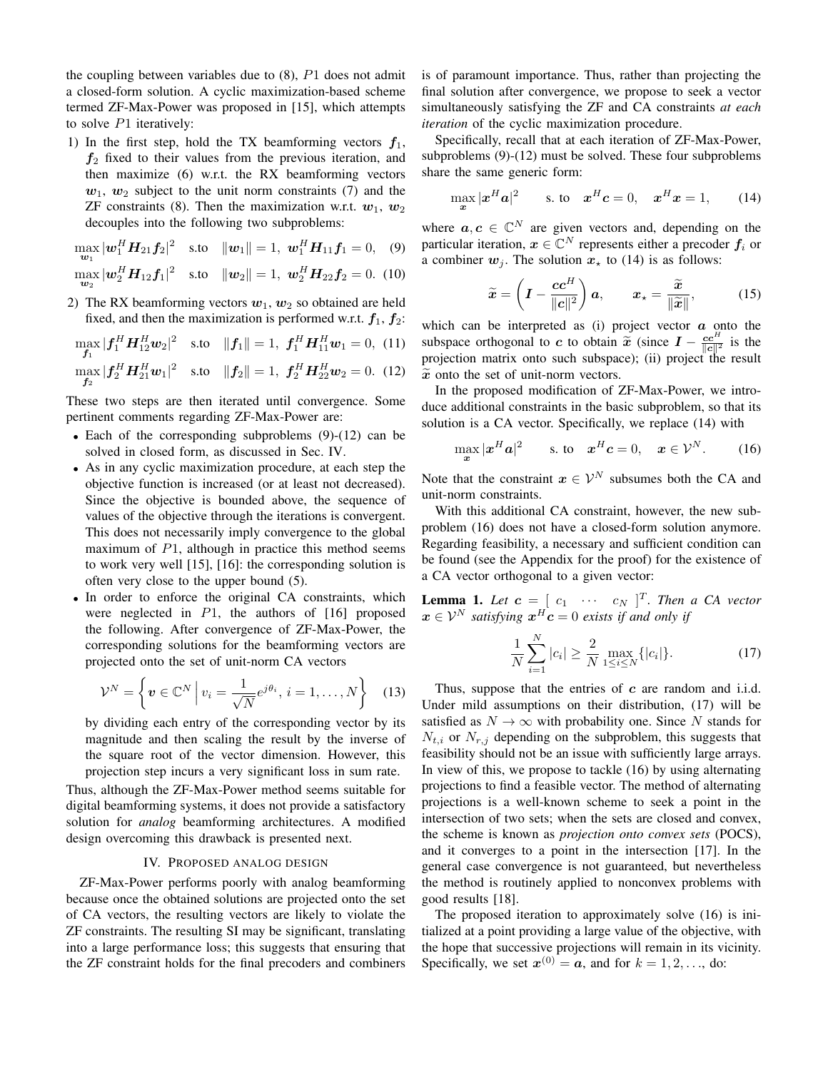the coupling between variables due to  $(8)$ ,  $P1$  does not admit a closed-form solution. A cyclic maximization-based scheme termed ZF-Max-Power was proposed in [15], which attempts to solve  $P1$  iteratively:

1) In the first step, hold the TX beamforming vectors  $f_1$ ,  $f_2$  fixed to their values from the previous iteration, and then maximize (6) w.r.t. the RX beamforming vectors  $w_1$ ,  $w_2$  subject to the unit norm constraints (7) and the ZF constraints (8). Then the maximization w.r.t.  $w_1, w_2$ decouples into the following two subproblems:

$$
\max_{\mathbf{w}_1} |\mathbf{w}_1^H \mathbf{H}_{21} \mathbf{f}_2|^2 \quad \text{s.to} \quad ||\mathbf{w}_1|| = 1, \ \mathbf{w}_1^H \mathbf{H}_{11} \mathbf{f}_1 = 0, \quad (9)
$$

$$
\max_{\mathbf{w}_2} |\mathbf{w}_2^H \mathbf{H}_{12} \mathbf{f}_1|^2 \quad \text{s.to} \quad ||\mathbf{w}_2|| = 1, \ \mathbf{w}_2^H \mathbf{H}_{22} \mathbf{f}_2 = 0. \tag{10}
$$

2) The RX beamforming vectors  $w_1, w_2$  so obtained are held fixed, and then the maximization is performed w.r.t.  $f_1, f_2$ :

$$
\max_{\mathbf{f}_1} |\mathbf{f}_1^H \mathbf{H}_{12}^H \mathbf{w}_2|^2 \quad \text{s.to} \quad ||\mathbf{f}_1|| = 1, \ \mathbf{f}_1^H \mathbf{H}_{11}^H \mathbf{w}_1 = 0, \ (11)
$$
\n
$$
\max_{\mathbf{f}_2} |\mathbf{f}_2^H \mathbf{H}_{21}^H \mathbf{w}_1|^2 \quad \text{s.to} \quad ||\mathbf{f}_2|| = 1, \ \mathbf{f}_2^H \mathbf{H}_{22}^H \mathbf{w}_2 = 0. \ (12)
$$

These two steps are then iterated until convergence. Some pertinent comments regarding ZF-Max-Power are:

- Each of the corresponding subproblems (9)-(12) can be solved in closed form, as discussed in Sec. IV.
- As in any cyclic maximization procedure, at each step the objective function is increased (or at least not decreased). Since the objective is bounded above, the sequence of values of the objective through the iterations is convergent. This does not necessarily imply convergence to the global maximum of  $P1$ , although in practice this method seems to work very well [15], [16]: the corresponding solution is often very close to the upper bound (5).
- In order to enforce the original CA constraints, which were neglected in  $P1$ , the authors of [16] proposed the following. After convergence of ZF-Max-Power, the corresponding solutions for the beamforming vectors are projected onto the set of unit-norm CA vectors

$$
\mathcal{V}^N = \left\{ \boldsymbol{v} \in \mathbb{C}^N \; \Big| \; v_i = \frac{1}{\sqrt{N}} e^{j\theta_i}, \, i = 1, \dots, N \right\} \quad (13)
$$

by dividing each entry of the corresponding vector by its magnitude and then scaling the result by the inverse of the square root of the vector dimension. However, this projection step incurs a very significant loss in sum rate.

Thus, although the ZF-Max-Power method seems suitable for digital beamforming systems, it does not provide a satisfactory solution for *analog* beamforming architectures. A modified design overcoming this drawback is presented next.

# IV. PROPOSED ANALOG DESIGN

ZF-Max-Power performs poorly with analog beamforming because once the obtained solutions are projected onto the set of CA vectors, the resulting vectors are likely to violate the ZF constraints. The resulting SI may be significant, translating into a large performance loss; this suggests that ensuring that the ZF constraint holds for the final precoders and combiners is of paramount importance. Thus, rather than projecting the final solution after convergence, we propose to seek a vector simultaneously satisfying the ZF and CA constraints *at each iteration* of the cyclic maximization procedure.

Specifically, recall that at each iteration of ZF-Max-Power, subproblems (9)-(12) must be solved. These four subproblems share the same generic form:

$$
\max_{\boldsymbol{x}} |\boldsymbol{x}^H \boldsymbol{a}|^2 \quad \text{s. to} \quad \boldsymbol{x}^H \boldsymbol{c} = 0, \quad \boldsymbol{x}^H \boldsymbol{x} = 1,\tag{14}
$$

where  $a, c \in \mathbb{C}^N$  are given vectors and, depending on the particular iteration,  $x \in \mathbb{C}^N$  represents either a precoder  $f_i$  or a combiner  $w_i$ . The solution  $x_{\star}$  to (14) is as follows:

$$
\widetilde{\boldsymbol{x}} = \left(\boldsymbol{I} - \frac{\boldsymbol{c}\boldsymbol{c}^H}{\|\boldsymbol{c}\|^2}\right)\boldsymbol{a}, \qquad \boldsymbol{x}_\star = \frac{\widetilde{\boldsymbol{x}}}{\|\widetilde{\boldsymbol{x}}\|}, \tag{15}
$$

which can be interpreted as  $(i)$  project vector  $\alpha$  onto the subspace orthogonal to c to obtain  $\tilde{x}$  (since  $I - \frac{cc^H}{|c||^2}$  is the projection matrix onto such subspace); (ii) project the result  $\tilde{x}$  onto the set of unit-norm vectors.

In the proposed modification of ZF-Max-Power, we introduce additional constraints in the basic subproblem, so that its solution is a CA vector. Specifically, we replace (14) with

$$
\max_{\boldsymbol{x}} |\boldsymbol{x}^H \boldsymbol{a}|^2 \quad \text{s. to} \quad \boldsymbol{x}^H \boldsymbol{c} = 0, \quad \boldsymbol{x} \in \mathcal{V}^N. \quad (16)
$$

Note that the constraint  $x \in \mathcal{V}^N$  subsumes both the CA and unit-norm constraints.

With this additional CA constraint, however, the new subproblem (16) does not have a closed-form solution anymore. Regarding feasibility, a necessary and sufficient condition can be found (see the Appendix for the proof) for the existence of a CA vector orthogonal to a given vector:

**Lemma 1.** Let  $\mathbf{c} = [c_1 \cdots c_N]^T$ . Then a CA vector  $\boldsymbol{x} \in \mathcal{V}^N$  satisfying  $\boldsymbol{x}^H \boldsymbol{c} = 0$  exists if and only if

$$
\frac{1}{N} \sum_{i=1}^{N} |c_i| \ge \frac{2}{N} \max_{1 \le i \le N} \{|c_i|\}.
$$
 (17)

Thus, suppose that the entries of  $c$  are random and i.i.d. Under mild assumptions on their distribution, (17) will be satisfied as  $N \to \infty$  with probability one. Since N stands for  $N_{t,i}$  or  $N_{r,j}$  depending on the subproblem, this suggests that feasibility should not be an issue with sufficiently large arrays. In view of this, we propose to tackle (16) by using alternating projections to find a feasible vector. The method of alternating projections is a well-known scheme to seek a point in the intersection of two sets; when the sets are closed and convex, the scheme is known as *projection onto convex sets* (POCS), and it converges to a point in the intersection [17]. In the general case convergence is not guaranteed, but nevertheless the method is routinely applied to nonconvex problems with good results [18].

The proposed iteration to approximately solve (16) is initialized at a point providing a large value of the objective, with the hope that successive projections will remain in its vicinity. Specifically, we set  $x^{(0)} = a$ , and for  $k = 1, 2, \dots$ , do: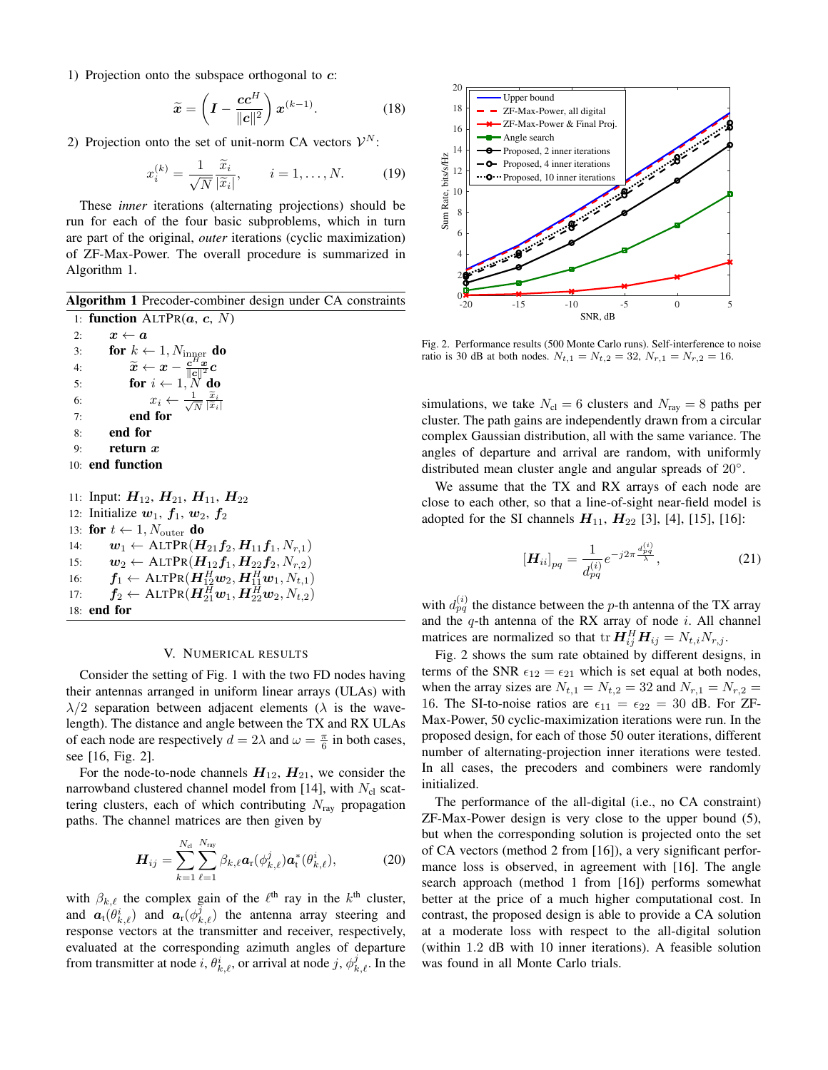1) Projection onto the subspace orthogonal to  $c$ :

$$
\widetilde{\boldsymbol{x}} = \left(\boldsymbol{I} - \frac{\boldsymbol{c}\boldsymbol{c}^H}{\|\boldsymbol{c}\|^2}\right)\boldsymbol{x}^{(k-1)}.
$$
 (18)

2) Projection onto the set of unit-norm CA vectors  $\mathcal{V}^N$ :

$$
x_i^{(k)} = \frac{1}{\sqrt{N}} \frac{\widetilde{x}_i}{|\widetilde{x}_i|}, \qquad i = 1, \dots, N. \tag{19}
$$

These *inner* iterations (alternating projections) should be run for each of the four basic subproblems, which in turn are part of the original, *outer* iterations (cyclic maximization) of ZF-Max-Power. The overall procedure is summarized in Algorithm 1.

Algorithm 1 Precoder-combiner design under CA constraints 1: function  $ALTPR(a, c, N)$ 

2:  $x \leftarrow a$ 3: for  $k \leftarrow 1, N_{\text{inner}}$  do 4:  $\widetilde{x} \leftarrow x - \frac{c^H x}{\|c\|^2} c$ 5: **for**  $i \leftarrow 1, N$  **do**<br>6:  $x_i \leftarrow \frac{1}{\sqrt{N}} \frac{\tilde{x}_i}{|\tilde{x}|}$ 6:  $x_i \leftarrow \frac{1}{\sqrt{2}}$ N  $|\widetilde{x}_i|$ 7: end for 8: end for 9: return  $x$ 10: end function 11: Input:  $H_{12}$ ,  $H_{21}$ ,  $H_{11}$ ,  $H_{22}$ 12: Initialize  $w_1$ ,  $f_1$ ,  $w_2$ ,  $f_2$ 13: for  $t \leftarrow 1, N_{\text{outer}}$  do 14:  $\boldsymbol{w}_1 \leftarrow \text{ALTPR}(\boldsymbol{H}_{21} \boldsymbol{f}_2, \boldsymbol{H}_{11} \boldsymbol{f}_1, N_{r,1})$ 

15:  $\boldsymbol{w}_2 \leftarrow \text{ALTPR}(\boldsymbol{H}_{12}\boldsymbol{f}_1, \boldsymbol{H}_{22}\boldsymbol{f}_2, N_{r,2})$ 16:  $\boldsymbol{f}_1 \leftarrow \text{ALTPR}(\boldsymbol{H}_{12}^H \boldsymbol{w}_2, \boldsymbol{H}_{11}^H \boldsymbol{w}_1, N_{t,1})$ 17:  $\boldsymbol{f}_2 \leftarrow \text{ALTPR}(\boldsymbol{H}_{21}^H \boldsymbol{w}_1, \boldsymbol{H}_{22}^H \boldsymbol{w}_2, N_{t,2})$ 18: end for

### V. NUMERICAL RESULTS

Consider the setting of Fig. 1 with the two FD nodes having their antennas arranged in uniform linear arrays (ULAs) with  $\lambda/2$  separation between adjacent elements ( $\lambda$  is the wavelength). The distance and angle between the TX and RX ULAs of each node are respectively  $d = 2\lambda$  and  $\omega = \frac{\pi}{6}$  in both cases, see [16, Fig. 2].

For the node-to-node channels  $H_{12}$ ,  $H_{21}$ , we consider the narrowband clustered channel model from [14], with  $N_{cl}$  scattering clusters, each of which contributing  $N_{\text{ray}}$  propagation paths. The channel matrices are then given by

$$
\boldsymbol{H}_{ij} = \sum_{k=1}^{N_{\rm cl}} \sum_{\ell=1}^{N_{\rm ray}} \beta_{k,\ell} \boldsymbol{a}_{\rm r}(\phi_{k,\ell}^j) \boldsymbol{a}_{\rm t}^*(\theta_{k,\ell}^i), \qquad (20)
$$

with  $\beta_{k,\ell}$  the complex gain of the  $\ell^{\text{th}}$  ray in the  $k^{\text{th}}$  cluster, and  $\mathbf{a}_t(\theta_{k,\ell}^i)$  and  $\mathbf{a}_r(\phi_{k,\ell}^j)$  the antenna array steering and response vectors at the transmitter and receiver, respectively, evaluated at the corresponding azimuth angles of departure from transmitter at node i,  $\theta_{k,\ell}^i$ , or arrival at node j,  $\phi_{k,\ell}^j$ . In the



Fig. 2. Performance results (500 Monte Carlo runs). Self-interference to noise ratio is 30 dB at both nodes.  $N_{t,1} = N_{t,2} = 32$ ,  $N_{r,1} = N_{r,2} = 16$ .

simulations, we take  $N_{\text{cl}} = 6$  clusters and  $N_{\text{ray}} = 8$  paths per cluster. The path gains are independently drawn from a circular complex Gaussian distribution, all with the same variance. The angles of departure and arrival are random, with uniformly distributed mean cluster angle and angular spreads of 20°.

We assume that the TX and RX arrays of each node are close to each other, so that a line-of-sight near-field model is adopted for the SI channels  $H_{11}$ ,  $H_{22}$  [3], [4], [15], [16]:

$$
[\boldsymbol{H}_{ii}]_{pq} = \frac{1}{d_{pq}^{(i)}} e^{-j2\pi \frac{d_{pq}^{(i)}}{\lambda}}, \tag{21}
$$

with  $d_{pq}^{(i)}$  the distance between the p-th antenna of the TX array and the  $q$ -th antenna of the RX array of node  $i$ . All channel matrices are normalized so that  $\mathbf{tr} \, \mathbf{H}_{ij}^H \mathbf{H}_{ij} = N_{t,i} N_{r,j}$ .

Fig. 2 shows the sum rate obtained by different designs, in terms of the SNR  $\epsilon_{12} = \epsilon_{21}$  which is set equal at both nodes, when the array sizes are  $N_{t,1} = N_{t,2} = 32$  and  $N_{r,1} = N_{r,2} =$ 16. The SI-to-noise ratios are  $\epsilon_{11} = \epsilon_{22} = 30$  dB. For ZF-Max-Power, 50 cyclic-maximization iterations were run. In the proposed design, for each of those 50 outer iterations, different number of alternating-projection inner iterations were tested. In all cases, the precoders and combiners were randomly initialized.

The performance of the all-digital (i.e., no CA constraint) ZF-Max-Power design is very close to the upper bound (5), but when the corresponding solution is projected onto the set of CA vectors (method 2 from [16]), a very significant performance loss is observed, in agreement with [16]. The angle search approach (method 1 from [16]) performs somewhat better at the price of a much higher computational cost. In contrast, the proposed design is able to provide a CA solution at a moderate loss with respect to the all-digital solution (within 1.2 dB with 10 inner iterations). A feasible solution was found in all Monte Carlo trials.